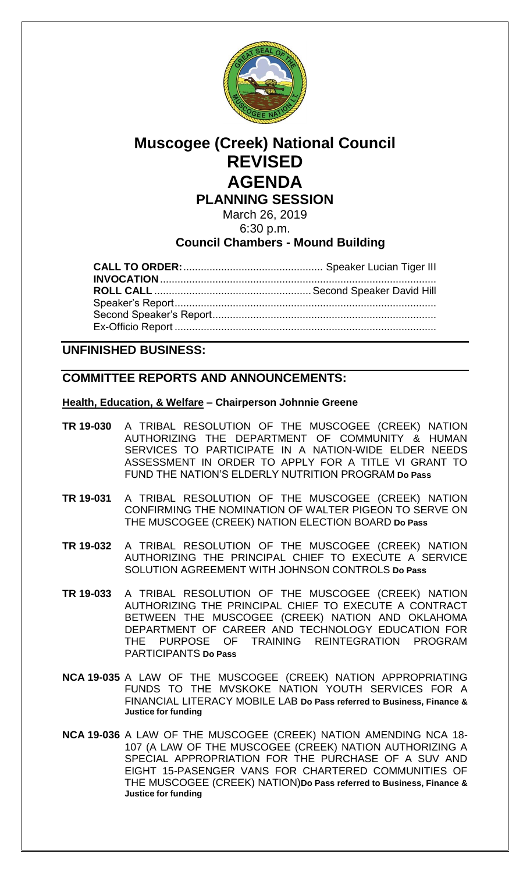

# **Muscogee (Creek) National Council REVISED AGENDA PLANNING SESSION**

March 26, 2019 6:30 p.m.

## **Council Chambers - Mound Building**

### **UNFINISHED BUSINESS:**

### **COMMITTEE REPORTS AND ANNOUNCEMENTS:**

#### **Health, Education, & Welfare – Chairperson Johnnie Greene**

- **TR 19-030** A TRIBAL RESOLUTION OF THE MUSCOGEE (CREEK) NATION AUTHORIZING THE DEPARTMENT OF COMMUNITY & HUMAN SERVICES TO PARTICIPATE IN A NATION-WIDE ELDER NEEDS ASSESSMENT IN ORDER TO APPLY FOR A TITLE VI GRANT TO FUND THE NATION'S ELDERLY NUTRITION PROGRAM **Do Pass**
- **TR 19-031** A TRIBAL RESOLUTION OF THE MUSCOGEE (CREEK) NATION CONFIRMING THE NOMINATION OF WALTER PIGEON TO SERVE ON THE MUSCOGEE (CREEK) NATION ELECTION BOARD **Do Pass**
- **TR 19-032** A TRIBAL RESOLUTION OF THE MUSCOGEE (CREEK) NATION AUTHORIZING THE PRINCIPAL CHIEF TO EXECUTE A SERVICE SOLUTION AGREEMENT WITH JOHNSON CONTROLS **Do Pass**
- **TR 19-033** A TRIBAL RESOLUTION OF THE MUSCOGEE (CREEK) NATION AUTHORIZING THE PRINCIPAL CHIEF TO EXECUTE A CONTRACT BETWEEN THE MUSCOGEE (CREEK) NATION AND OKLAHOMA DEPARTMENT OF CAREER AND TECHNOLOGY EDUCATION FOR THE PURPOSE OF TRAINING REINTEGRATION PROGRAM PARTICIPANTS **Do Pass**
- **NCA 19-035** A LAW OF THE MUSCOGEE (CREEK) NATION APPROPRIATING FUNDS TO THE MVSKOKE NATION YOUTH SERVICES FOR A FINANCIAL LITERACY MOBILE LAB **Do Pass referred to Business, Finance & Justice for funding**
- **NCA 19-036** A LAW OF THE MUSCOGEE (CREEK) NATION AMENDING NCA 18- 107 (A LAW OF THE MUSCOGEE (CREEK) NATION AUTHORIZING A SPECIAL APPROPRIATION FOR THE PURCHASE OF A SUV AND EIGHT 15-PASENGER VANS FOR CHARTERED COMMUNITIES OF THE MUSCOGEE (CREEK) NATION)**Do Pass referred to Business, Finance & Justice for funding**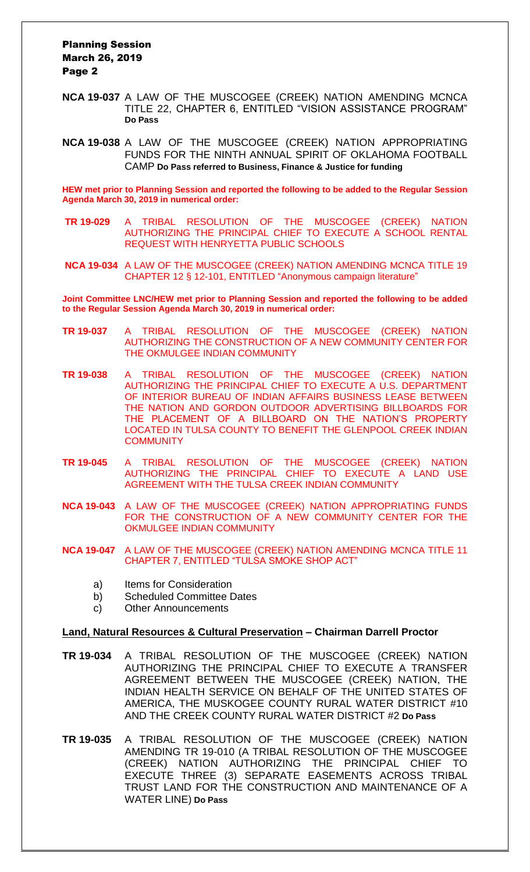#### Planning Session March 26, 2019 Page 2

- **NCA 19-037** A LAW OF THE MUSCOGEE (CREEK) NATION AMENDING MCNCA TITLE 22, CHAPTER 6, ENTITLED "VISION ASSISTANCE PROGRAM" **Do Pass**
- **NCA 19-038** A LAW OF THE MUSCOGEE (CREEK) NATION APPROPRIATING FUNDS FOR THE NINTH ANNUAL SPIRIT OF OKLAHOMA FOOTBALL CAMP **Do Pass referred to Business, Finance & Justice for funding**

**HEW met prior to Planning Session and reported the following to be added to the Regular Session Agenda March 30, 2019 in numerical order:**

- **TR 19-029** A TRIBAL RESOLUTION OF THE MUSCOGEE (CREEK) NATION AUTHORIZING THE PRINCIPAL CHIEF TO EXECUTE A SCHOOL RENTAL REQUEST WITH HENRYETTA PUBLIC SCHOOLS
- **NCA 19-034** A LAW OF THE MUSCOGEE (CREEK) NATION AMENDING MCNCA TITLE 19 CHAPTER 12 § 12-101, ENTITLED "Anonymous campaign literature"

**Joint Committee LNC/HEW met prior to Planning Session and reported the following to be added to the Regular Session Agenda March 30, 2019 in numerical order:**

- **TR 19-037** A TRIBAL RESOLUTION OF THE MUSCOGEE (CREEK) NATION AUTHORIZING THE CONSTRUCTION OF A NEW COMMUNITY CENTER FOR THE OKMULGEE INDIAN COMMUNITY
- **TR 19-038** A TRIBAL RESOLUTION OF THE MUSCOGEE (CREEK) NATION AUTHORIZING THE PRINCIPAL CHIEF TO EXECUTE A U.S. DEPARTMENT OF INTERIOR BUREAU OF INDIAN AFFAIRS BUSINESS LEASE BETWEEN THE NATION AND GORDON OUTDOOR ADVERTISING BILLBOARDS FOR THE PLACEMENT OF A BILLBOARD ON THE NATION'S PROPERTY LOCATED IN TULSA COUNTY TO BENEFIT THE GLENPOOL CREEK INDIAN **COMMUNITY**
- **TR 19-045** A TRIBAL RESOLUTION OF THE MUSCOGEE (CREEK) NATION AUTHORIZING THE PRINCIPAL CHIEF TO EXECUTE A LAND USE AGREEMENT WITH THE TULSA CREEK INDIAN COMMUNITY
- **NCA 19-043** A LAW OF THE MUSCOGEE (CREEK) NATION APPROPRIATING FUNDS FOR THE CONSTRUCTION OF A NEW COMMUNITY CENTER FOR THE OKMULGEE INDIAN COMMUNITY
- **NCA 19-047** A LAW OF THE MUSCOGEE (CREEK) NATION AMENDING MCNCA TITLE 11 CHAPTER 7, ENTITLED "TULSA SMOKE SHOP ACT"
	- a) Items for Consideration
	- b) Scheduled Committee Dates
	- c) Other Announcements

#### **Land, Natural Resources & Cultural Preservation – Chairman Darrell Proctor**

- **TR 19-034** A TRIBAL RESOLUTION OF THE MUSCOGEE (CREEK) NATION AUTHORIZING THE PRINCIPAL CHIEF TO EXECUTE A TRANSFER AGREEMENT BETWEEN THE MUSCOGEE (CREEK) NATION, THE INDIAN HEALTH SERVICE ON BEHALF OF THE UNITED STATES OF AMERICA, THE MUSKOGEE COUNTY RURAL WATER DISTRICT #10 AND THE CREEK COUNTY RURAL WATER DISTRICT #2 **Do Pass**
- **TR 19-035** A TRIBAL RESOLUTION OF THE MUSCOGEE (CREEK) NATION AMENDING TR 19-010 (A TRIBAL RESOLUTION OF THE MUSCOGEE (CREEK) NATION AUTHORIZING THE PRINCIPAL CHIEF TO EXECUTE THREE (3) SEPARATE EASEMENTS ACROSS TRIBAL TRUST LAND FOR THE CONSTRUCTION AND MAINTENANCE OF A WATER LINE) **Do Pass**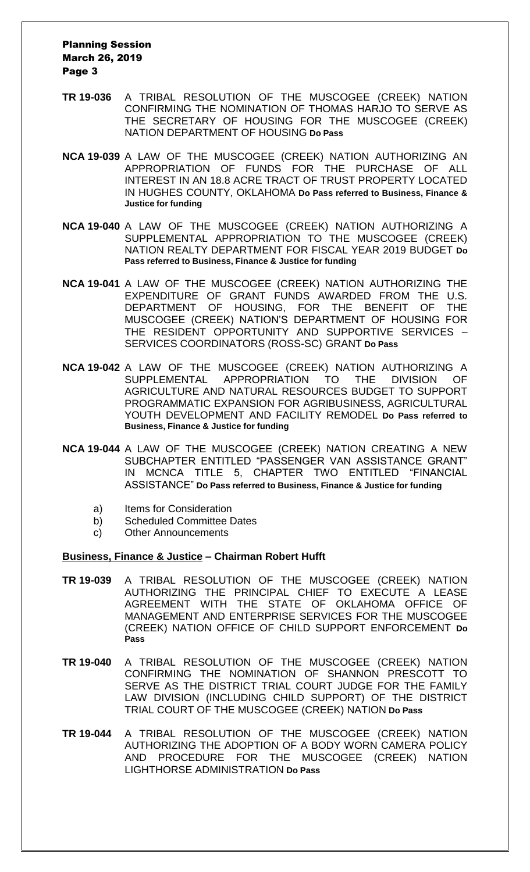#### Planning Session March 26, 2019 Page 3

- **TR 19-036** A TRIBAL RESOLUTION OF THE MUSCOGEE (CREEK) NATION CONFIRMING THE NOMINATION OF THOMAS HARJO TO SERVE AS THE SECRETARY OF HOUSING FOR THE MUSCOGEE (CREEK) NATION DEPARTMENT OF HOUSING **Do Pass**
- **NCA 19-039** A LAW OF THE MUSCOGEE (CREEK) NATION AUTHORIZING AN APPROPRIATION OF FUNDS FOR THE PURCHASE OF ALL INTEREST IN AN 18.8 ACRE TRACT OF TRUST PROPERTY LOCATED IN HUGHES COUNTY, OKLAHOMA **Do Pass referred to Business, Finance & Justice for funding**
- **NCA 19-040** A LAW OF THE MUSCOGEE (CREEK) NATION AUTHORIZING A SUPPLEMENTAL APPROPRIATION TO THE MUSCOGEE (CREEK) NATION REALTY DEPARTMENT FOR FISCAL YEAR 2019 BUDGET **Do Pass referred to Business, Finance & Justice for funding**
- **NCA 19-041** A LAW OF THE MUSCOGEE (CREEK) NATION AUTHORIZING THE EXPENDITURE OF GRANT FUNDS AWARDED FROM THE U.S. DEPARTMENT OF HOUSING, FOR THE BENEFIT OF THE MUSCOGEE (CREEK) NATION'S DEPARTMENT OF HOUSING FOR THE RESIDENT OPPORTUNITY AND SUPPORTIVE SERVICES – SERVICES COORDINATORS (ROSS-SC) GRANT **Do Pass**
- **NCA 19-042** A LAW OF THE MUSCOGEE (CREEK) NATION AUTHORIZING A SUPPLEMENTAL APPROPRIATION TO THE DIVISION OF AGRICULTURE AND NATURAL RESOURCES BUDGET TO SUPPORT PROGRAMMATIC EXPANSION FOR AGRIBUSINESS, AGRICULTURAL YOUTH DEVELOPMENT AND FACILITY REMODEL **Do Pass referred to Business, Finance & Justice for funding**
- **NCA 19-044** A LAW OF THE MUSCOGEE (CREEK) NATION CREATING A NEW SUBCHAPTER ENTITLED "PASSENGER VAN ASSISTANCE GRANT" IN MCNCA TITLE 5, CHAPTER TWO ENTITLED "FINANCIAL ASSISTANCE" **Do Pass referred to Business, Finance & Justice for funding**
	- a) Items for Consideration
	- b) Scheduled Committee Dates
	- c) Other Announcements

#### **Business, Finance & Justice – Chairman Robert Hufft**

- **TR 19-039** A TRIBAL RESOLUTION OF THE MUSCOGEE (CREEK) NATION AUTHORIZING THE PRINCIPAL CHIEF TO EXECUTE A LEASE AGREEMENT WITH THE STATE OF OKLAHOMA OFFICE OF MANAGEMENT AND ENTERPRISE SERVICES FOR THE MUSCOGEE (CREEK) NATION OFFICE OF CHILD SUPPORT ENFORCEMENT **Do Pass**
- **TR 19-040** A TRIBAL RESOLUTION OF THE MUSCOGEE (CREEK) NATION CONFIRMING THE NOMINATION OF SHANNON PRESCOTT TO SERVE AS THE DISTRICT TRIAL COURT JUDGE FOR THE FAMILY LAW DIVISION (INCLUDING CHILD SUPPORT) OF THE DISTRICT TRIAL COURT OF THE MUSCOGEE (CREEK) NATION **Do Pass**
- **TR 19-044** A TRIBAL RESOLUTION OF THE MUSCOGEE (CREEK) NATION AUTHORIZING THE ADOPTION OF A BODY WORN CAMERA POLICY AND PROCEDURE FOR THE MUSCOGEE (CREEK) NATION LIGHTHORSE ADMINISTRATION **Do Pass**